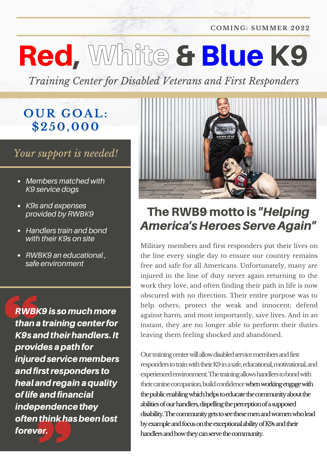**COMING: SUMME R 2022**

# Red, White & Blue K9

*Training Center for Disabled Veterans and First Responders*

### **OUR GOA L: \$250,000**

#### *Your support is needed!*

- *Members matched with K9 service dogs*
- *K9s and expenses provided by RWBK9*
- *Handlers train and bond with their K9s on site*
- *RWBK9 an educational , safe environment*

RWBK9is somuchmore than a training center for K9s and their handlers. It provides a path for injured service members and first responders to heal and regain a quality oflifeandfinancial independence they often think has been lost forever.



### The RWB9 motto is "Helping America's Heroes Serve Again"

Military members and first responders put their lives on the line every single day to ensure our country remains free and safe for all Americans. Unfortunately, many are injured in the line of duty never again returning to the work they love, and often finding their path in life is now obscured with no direction. Their entire purpose was to help others; protect the weak and innocent; defend against harm, and most importantly, save lives. And in an instant, they are no longer able to perform their duties leaving them feeling shocked and abandoned.

Our training center will allow disabled service members and first responders to train with their K9 in a safe, educational, motivational, and experienced environment. The training allows handlers to bond with their canine companion, build confidence when working engage with the public enabling which helps to educate the community about the abilities of our handlers, dispelling the perception of a supposed disability. The community gets to see these men and women who lead by example and focus on the exceptional ability of K9s and their handlers and how they can serve the community.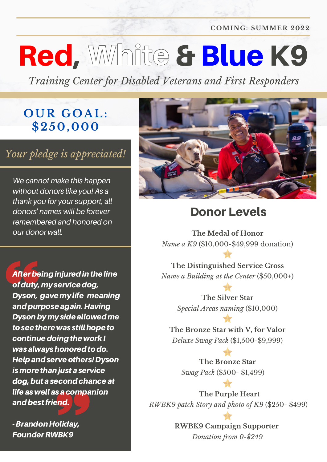**COMING: SUMME R 2022**

### Red, White & Blue K9

*Training Center for Disabled Veterans and First Responders*

#### **OUR GOA L: \$250,000**

#### *Your pledge is appreciated!*

*We cannot make this happen without donors like you! As a thank you for your support, all donors' names will be forever remembered and honored on our donor wall.*

After being injured in the line of duty, my service dog, Dyson, gave my life meaning and purpose again. Having Dyson by my side allowed me to see there was still hope to continue doing the work I was always honored to do. Help and serve others! Dyson is more than just a service dog, but a second chance at life as well as a companion and best friend.

- Brandon Holiday, FounderRWBK9



#### Donor Levels

**The Medal of Honor** *Name a K9* (\$10,000-\$49,999 donation)

**The Distinguished Service Cross** *Name a Building at the Center* (\$50,000+)

> **The Silver Star** *Special Areas naming* (\$10,000)

**The Bronze Star with V, for Valor** *Deluxe Swag Pack* (\$1,500-\$9,999)

**The Bronze Star** *Swag Pack* (\$500- \$1,499)

**The Purple Heart** *RWBK9 patch Story and photo of K9* (\$250- \$499)

> **RWBK9 Campaign Supporter** *Donation from 0-\$249*